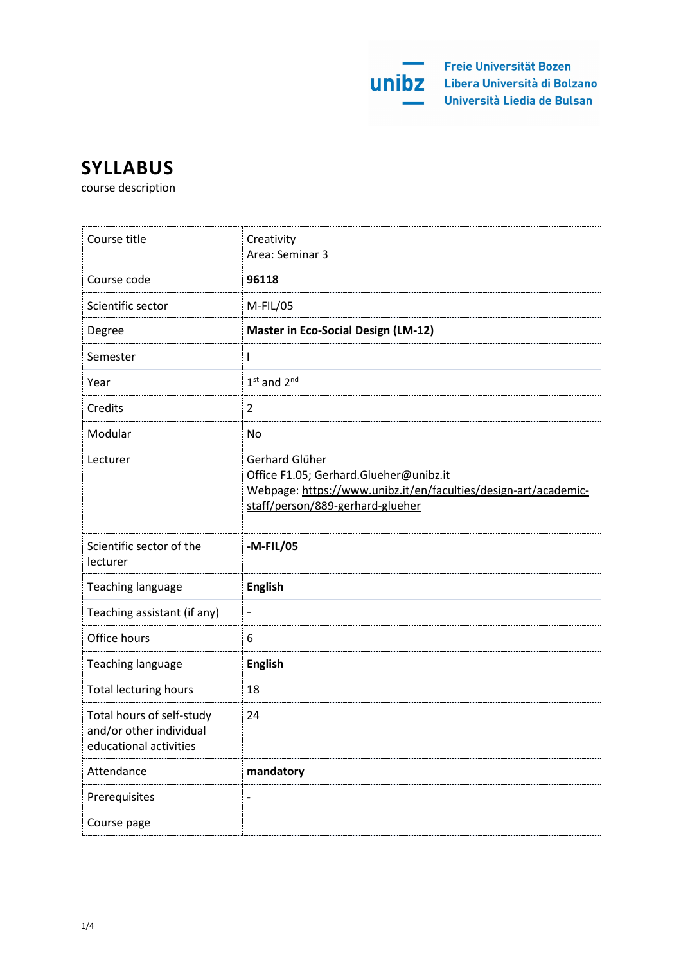

# **SYLLABUS**

course description

| Course title                                                                   | Creativity<br>Area: Seminar 3                                                                                                                                   |
|--------------------------------------------------------------------------------|-----------------------------------------------------------------------------------------------------------------------------------------------------------------|
| Course code                                                                    | 96118                                                                                                                                                           |
| Scientific sector                                                              | M-FIL/05                                                                                                                                                        |
| Degree                                                                         | <b>Master in Eco-Social Design (LM-12)</b>                                                                                                                      |
| Semester                                                                       | L                                                                                                                                                               |
| Year                                                                           | $1st$ and $2nd$                                                                                                                                                 |
| Credits                                                                        | $\overline{2}$                                                                                                                                                  |
| Modular                                                                        | No                                                                                                                                                              |
| Lecturer                                                                       | Gerhard Glüher<br>Office F1.05; Gerhard.Glueher@unibz.it<br>Webpage: https://www.unibz.it/en/faculties/design-art/academic-<br>staff/person/889-gerhard-glueher |
| Scientific sector of the<br>lecturer                                           | $-M-FIL/05$                                                                                                                                                     |
| <b>Teaching language</b>                                                       | <b>English</b>                                                                                                                                                  |
| Teaching assistant (if any)                                                    | -                                                                                                                                                               |
| Office hours                                                                   | 6                                                                                                                                                               |
| <b>Teaching language</b>                                                       | <b>English</b>                                                                                                                                                  |
| <b>Total lecturing hours</b>                                                   | 18                                                                                                                                                              |
| Total hours of self-study<br>and/or other individual<br>educational activities | 24                                                                                                                                                              |
| Attendance                                                                     | mandatory                                                                                                                                                       |
| Prerequisites                                                                  |                                                                                                                                                                 |
| Course page                                                                    |                                                                                                                                                                 |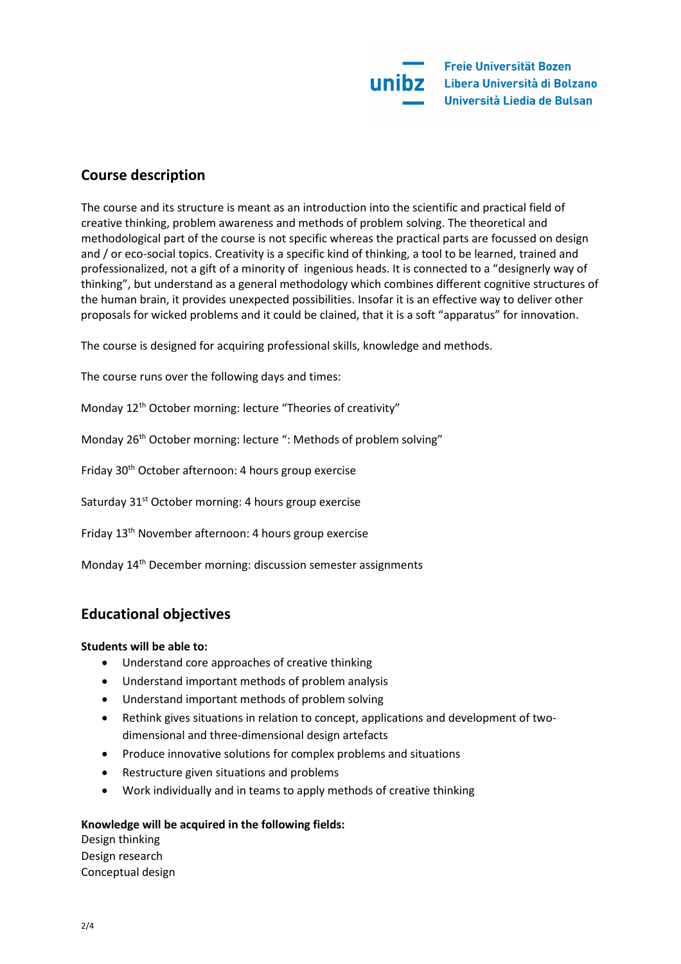

# **Course description**

The course and its structure is meant as an introduction into the scientific and practical field of creative thinking, problem awareness and methods of problem solving. The theoretical and methodological part of the course is not specific whereas the practical parts are focussed on design and / or eco-social topics. Creativity is a specific kind of thinking, a tool to be learned, trained and professionalized, not a gift of a minority of ingenious heads. It is connected to a "designerly way of thinking", but understand as a general methodology which combines different cognitive structures of the human brain, it provides unexpected possibilities. Insofar it is an effective way to deliver other proposals for wicked problems and it could be clained, that it is a soft "apparatus" for innovation.

The course is designed for acquiring professional skills, knowledge and methods.

The course runs over the following days and times:

Monday 12<sup>th</sup> October morning: lecture "Theories of creativity"

Monday 26<sup>th</sup> October morning: lecture ": Methods of problem solving"

Friday 30th October afternoon: 4 hours group exercise

Saturday 31<sup>st</sup> October morning: 4 hours group exercise

Friday 13th November afternoon: 4 hours group exercise

Monday 14<sup>th</sup> December morning: discussion semester assignments

## **Educational objectives**

## **Students will be able to:**

- Understand core approaches of creative thinking
- Understand important methods of problem analysis
- Understand important methods of problem solving
- Rethink gives situations in relation to concept, applications and development of twodimensional and three-dimensional design artefacts
- Produce innovative solutions for complex problems and situations
- Restructure given situations and problems
- Work individually and in teams to apply methods of creative thinking

## **Knowledge will be acquired in the following fields:**

Design thinking Design research Conceptual design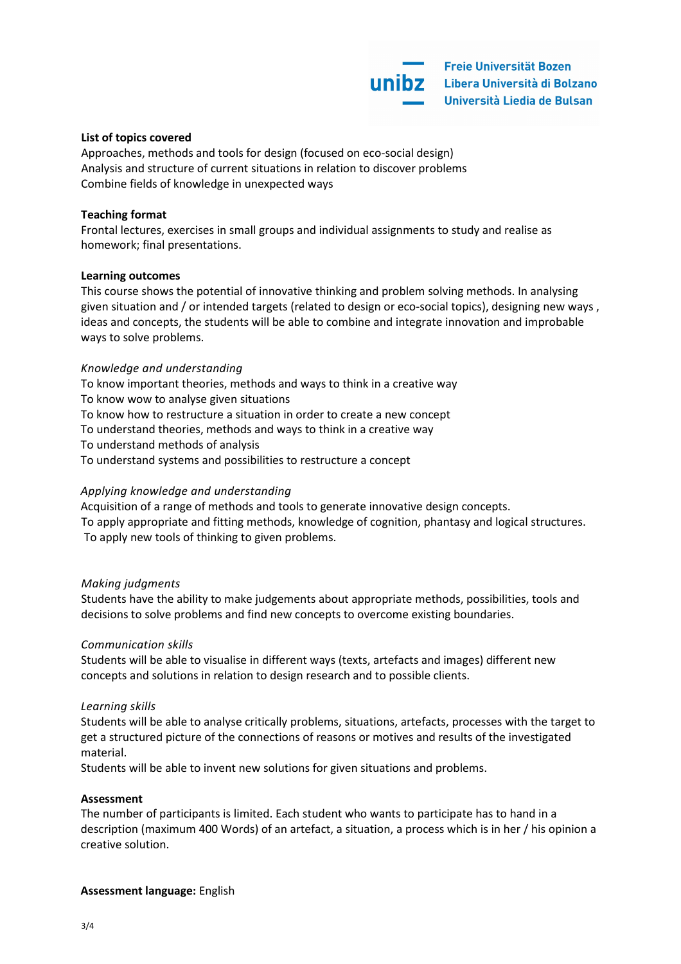#### **List of topics covered**

Approaches, methods and tools for design (focused on eco-social design) Analysis and structure of current situations in relation to discover problems Combine fields of knowledge in unexpected ways

#### **Teaching format**

Frontal lectures, exercises in small groups and individual assignments to study and realise as homework; final presentations.

#### **Learning outcomes**

This course shows the potential of innovative thinking and problem solving methods. In analysing given situation and / or intended targets (related to design or eco-social topics), designing new ways , ideas and concepts, the students will be able to combine and integrate innovation and improbable ways to solve problems.

## *Knowledge and understanding*

To know important theories, methods and ways to think in a creative way To know wow to analyse given situations To know how to restructure a situation in order to create a new concept To understand theories, methods and ways to think in a creative way To understand methods of analysis To understand systems and possibilities to restructure a concept

## *Applying knowledge and understanding*

Acquisition of a range of methods and tools to generate innovative design concepts. To apply appropriate and fitting methods, knowledge of cognition, phantasy and logical structures. To apply new tools of thinking to given problems.

## *Making judgments*

Students have the ability to make judgements about appropriate methods, possibilities, tools and decisions to solve problems and find new concepts to overcome existing boundaries.

## *Communication skills*

Students will be able to visualise in different ways (texts, artefacts and images) different new concepts and solutions in relation to design research and to possible clients.

## *Learning skills*

Students will be able to analyse critically problems, situations, artefacts, processes with the target to get a structured picture of the connections of reasons or motives and results of the investigated material.

Students will be able to invent new solutions for given situations and problems.

## **Assessment**

The number of participants is limited. Each student who wants to participate has to hand in a description (maximum 400 Words) of an artefact, a situation, a process which is in her / his opinion a creative solution.

#### **Assessment language:** English